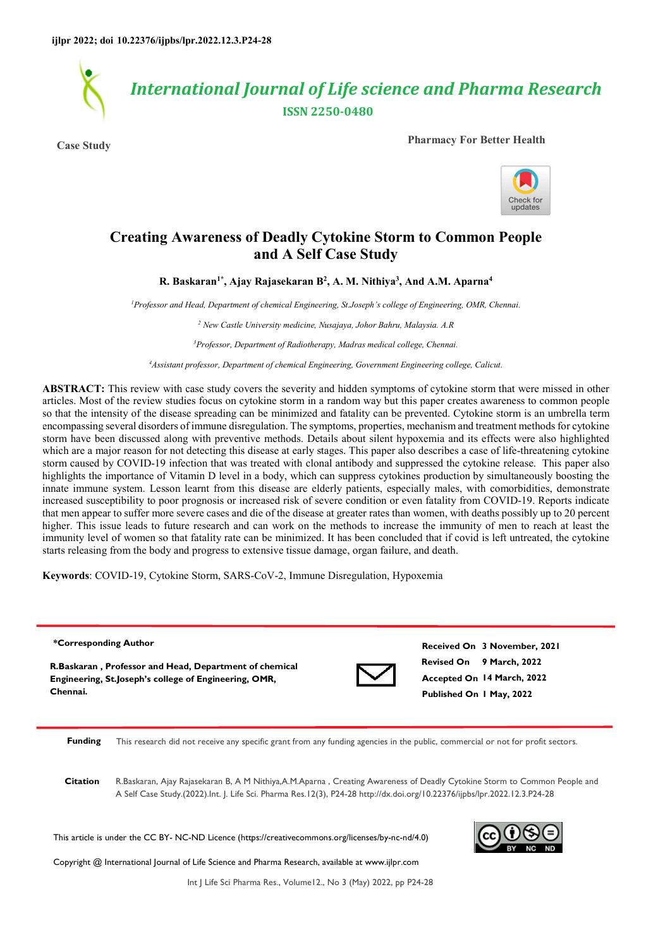*International Journal of Life science and Pharma Research*  **ISSN 2250-0480**

**Case Study Pharmacy For Better Health**



# **Creating Awareness of Deadly Cytokine Storm to Common People and A Self Case Study**

**R. Baskaran1\*, Ajay Rajasekaran B<sup>2</sup> , A. M. Nithiya<sup>3</sup> , And A.M. Aparna<sup>4</sup>**

*<sup>1</sup>Professor and Head, Department of chemical Engineering, St.Joseph's college of Engineering, OMR, Chennai.* 

*2 New Castle University medicine, Nusajaya, Johor Bahru, Malaysia. A.R* 

*<sup>3</sup>Professor, Department of Radiotherapy, Madras medical college, Chennai.* 

*<sup>4</sup>Assistant professor, Department of chemical Engineering, Government Engineering college, Calicut.* 

**ABSTRACT:** This review with case study covers the severity and hidden symptoms of cytokine storm that were missed in other articles. Most of the review studies focus on cytokine storm in a random way but this paper creates awareness to common people so that the intensity of the disease spreading can be minimized and fatality can be prevented. Cytokine storm is an umbrella term encompassing several disorders of immune disregulation. The symptoms, properties, mechanism and treatment methods for cytokine storm have been discussed along with preventive methods. Details about silent hypoxemia and its effects were also highlighted which are a major reason for not detecting this disease at early stages. This paper also describes a case of life-threatening cytokine storm caused by COVID-19 infection that was treated with clonal antibody and suppressed the cytokine release. This paper also highlights the importance of Vitamin D level in a body, which can suppress cytokines production by simultaneously boosting the innate immune system. Lesson learnt from this disease are elderly patients, especially males, with comorbidities, demonstrate increased susceptibility to poor prognosis or increased risk of severe condition or even fatality from COVID-19. Reports indicate that men appear to suffer more severe cases and die of the disease at greater rates than women, with deaths possibly up to 20 percent higher. This issue leads to future research and can work on the methods to increase the immunity of men to reach at least the immunity level of women so that fatality rate can be minimized. It has been concluded that if covid is left untreated, the cytokine starts releasing from the body and progress to extensive tissue damage, organ failure, and death.

**Keywords**: COVID-19, Cytokine Storm, SARS-CoV-2, Immune Disregulation, Hypoxemia

#### **\*Corresponding Author**

**R.Baskaran , Professor and Head, Department of chemical Engineering, St.Joseph's college of Engineering, OMR, Chennai.**



**Revised On 9 March, 2022 Accepted On 14 March, 2022 Published On 1 May, 2022 Received On 3 November, 2021**

**Funding** This research did not receive any specific grant from any funding agencies in the public, commercial or not for profit sectors.

**Citation** R.Baskaran, Ajay Rajasekaran B, A M Nithiya,A.M.Aparna , Creating Awareness of Deadly Cytokine Storm to Common People and A Self Case Study.(2022).Int. J. Life Sci. Pharma Res.12(3), P24-28 http://dx.doi.org/10.22376/ijpbs/lpr.2022.12.3.P24-28

This article is under the CC BY- NC-ND Licence (https://creativecommons.org/licenses/by-nc-nd/4.0)

Copyright @ International Journal of Life Science and Pharma Research, available at www.ijlpr.com



Int J Life Sci Pharma Res., Volume12., No 3 (May) 2022, pp P24-28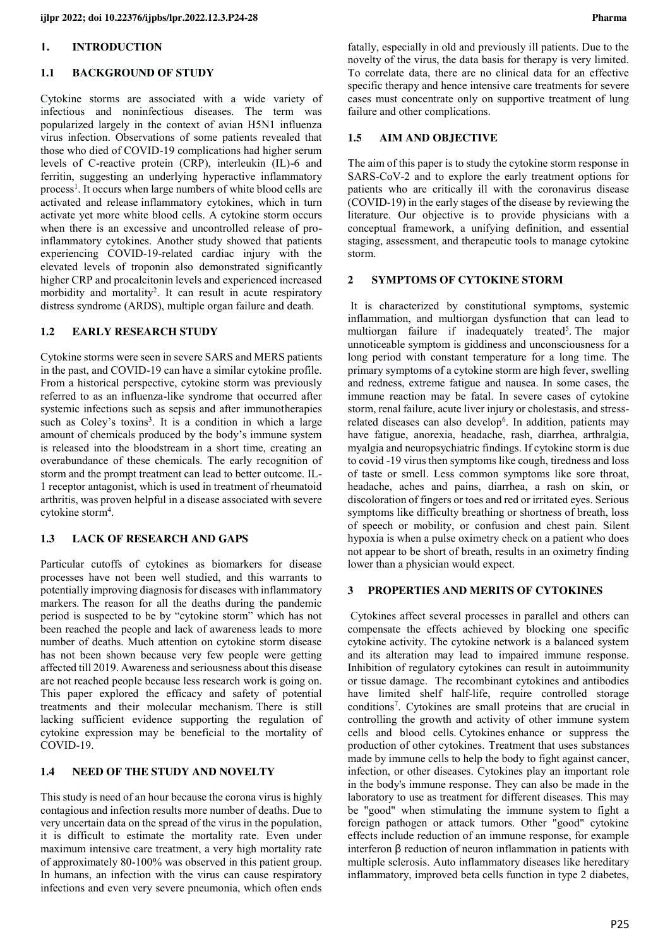#### **1. INTRODUCTION**

#### **1.1 BACKGROUND OF STUDY**

Cytokine storms are associated with a wide variety of infectious and noninfectious diseases. The term was popularized largely in the context of avian H5N1 influenza virus infection. Observations of some patients revealed that those who died of COVID-19 complications had higher serum levels of C-reactive protein (CRP), interleukin (IL)-6 and ferritin, suggesting an underlying hyperactive inflammatory process<sup>1</sup>. It occurs when large numbers of [white blood cells](https://en.wikipedia.org/wiki/White_blood_cell) are activated and release [inflammatory cytokines,](https://en.wikipedia.org/wiki/Inflammatory_cytokine) which in turn activate yet more white blood cells. A cytokine storm occurs when there is an excessive and uncontrolled release of proinflammatory cytokines. Another study showed that patients experiencing COVID-19-related cardiac injury with the elevated levels of troponin also demonstrated significantly higher CRP and procalcitonin levels and experienced increased morbidity and mortality<sup>2</sup>. It can result in acute respiratory distress syndrome (ARDS), multiple organ failure and death.

### **1.2 EARLY RESEARCH STUDY**

Cytokine storms were seen in severe SARS and MERS patients in the past, and COVID-19 can have a similar cytokine profile. From a historical perspective, cytokine storm was previously referred to as an influenza-like syndrome that occurred after systemic infections such as sepsis and after immunotherapies such as Coley's toxins<sup>3</sup>. It is a condition in which a large amount of chemicals produced by the body's immune system is released into the bloodstream in a short time, creating an overabundance of these chemicals. The early recognition of storm and the prompt treatment can lead to better outcome. IL-1 receptor antagonist, which is used in treatment of rheumatoid arthritis, was proven helpful in a disease associated with severe cytokine storm<sup>4</sup>.

## **1.3 LACK OF RESEARCH AND GAPS**

Particular cutoffs of cytokines as biomarkers for disease processes have not been well studied, and this warrants to potentially improving diagnosis for diseases with inflammatory markers. The reason for all the deaths during the pandemic period is suspected to be by "cytokine storm" which has not been reached the people and lack of awareness leads to more number of deaths. Much attention on cytokine storm disease has not been shown because very few people were getting affected till 2019. Awareness and seriousness about this disease are not reached people because less research work is going on. This paper explored the efficacy and safety of potential treatments and their molecular mechanism. There is still lacking sufficient evidence supporting the regulation of cytokine expression may be beneficial to the mortality of COVID-19.

### **1.4 NEED OF THE STUDY AND NOVELTY**

This study is need of an hour because the corona virus is highly contagious and infection results more number of deaths. Due to very uncertain data on the spread of the virus in the population, it is difficult to estimate the mortality rate. Even under maximum intensive care treatment, a very high mortality rate of approximately 80-100% was observed in this patient group. In humans, an infection with the virus can cause respiratory infections and even very severe pneumonia, which often ends fatally, especially in old and previously ill patients. Due to the novelty of the virus, the data basis for therapy is very limited. To correlate data, there are no clinical data for an effective specific therapy and hence intensive care treatments for severe cases must concentrate only on supportive treatment of lung failure and other complications.

#### **1.5 AIM AND OBJECTIVE**

The aim of this paper is to study the cytokine storm response in SARS-CoV-2 and to explore the early treatment options for patients who are critically ill with the coronavirus disease (COVID-19) in the early stages of the disease by reviewing the literature. Our objective is to provide physicians with a conceptual framework, a unifying definition, and essential staging, assessment, and therapeutic tools to manage cytokine storm.

### **2 SYMPTOMS OF CYTOKINE STORM**

 It is characterized by constitutional symptoms, systemic inflammation, and multiorgan dysfunction that can lead to multiorgan failure if inadequately treated<sup>5</sup>. The major unnoticeable symptom is giddiness and unconsciousness for a long period with constant temperature for a long time. The primary symptoms of a cytokine storm are high fever, swelling and redness, extreme fatigue and nausea. In some cases, the immune reaction may be fatal. In severe cases of cytokine storm, renal failure, acute liver injury or cholestasis, and stressrelated diseases can also develop<sup>6</sup>. In addition, patients may have fatigue, anorexia, headache, rash, diarrhea, arthralgia, myalgia and neuropsychiatric findings. If cytokine storm is due to covid -19 virus then symptoms like cough, tiredness and loss of taste or smell. Less common symptoms like sore throat, headache, aches and pains, diarrhea, a rash on skin, or discoloration of fingers or toes and red or irritated eyes. Serious symptoms like difficulty breathing or shortness of breath, loss of speech or mobility, or confusion and chest pain. Silent hypoxia is when a pulse oximetry check on a patient who does not appear to be short of breath, results in an oximetry finding lower than a physician would expect.

#### **3 PROPERTIES AND MERITS OF CYTOKINES**

 Cytokines affect several processes in parallel and others can compensate the effects achieved by blocking one specific cytokine activity. The cytokine network is a balanced system and its alteration may lead to impaired immune response. Inhibition of regulatory cytokines can result in autoimmunity or tissue damage. The recombinant cytokines and antibodies have limited shelf half-life, require controlled storage conditions<sup>7</sup>. Cytokines are small proteins that are crucial in controlling the growth and activity of other immune system cells and blood cells. Cytokines enhance or suppress the production of other cytokines. Treatment that uses substances made by immune cells to help the body to fight against cancer, infection, or other diseases. Cytokines play an important role in the body's immune response. They can also be made in the laboratory to use as treatment for different diseases. This may be "good" when stimulating the immune system to fight a foreign pathogen or attack tumors. Other "good" cytokine effects include reduction of an immune response, for example interferon β reduction of neuron inflammation in patients with multiple sclerosis. Auto inflammatory diseases like hereditary inflammatory, improved beta cells function in type 2 diabetes,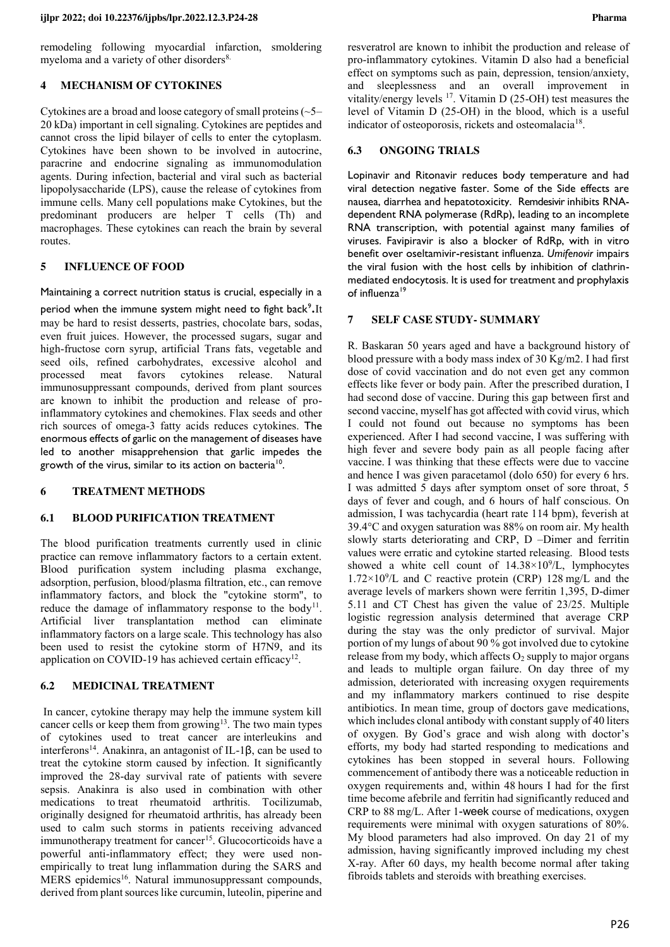remodeling following myocardial infarction, smoldering myeloma and a variety of other disorders<sup>8.</sup>

### **4 MECHANISM OF CYTOKINES**

Cytokines are a broad and loose category of small proteins (~5– 20 kDa) important in cell signaling. Cytokines are peptides and cannot cross the lipid bilayer of cells to enter the cytoplasm. Cytokines have been shown to be involved in autocrine, paracrine and endocrine signaling as immunomodulation agents. During infection, bacterial and viral such as bacterial lipopolysaccharide (LPS), cause the release of cytokines from immune cells. Many cell populations make Cytokines, but the predominant producers are helper T cells (Th) and macrophages. These cytokines can reach the brain by several routes.

### **5 INFLUENCE OF FOOD**

Maintaining a correct nutrition status is crucial, especially in a

period when the immune system might need to fight back<sup>9</sup>. It may be hard to resist desserts, pastries, chocolate bars, sodas, even fruit juices. However, the processed sugars, sugar and high-fructose corn syrup, artificial Trans fats, vegetable and seed oils, refined carbohydrates, excessive alcohol and processed meat favors cytokines release. Natural immunosuppressant compounds, derived from plant sources are known to inhibit the production and release of proinflammatory cytokines and chemokines. Flax seeds and other rich sources of omega-3 fatty acids reduces cytokines. The enormous effects of garlic on the management of diseases have led to another misapprehension that garlic impedes the growth of the virus, similar to its action on bacteria<sup>10</sup>.

#### **6 TREATMENT METHODS**

### **6.1 BLOOD PURIFICATION TREATMENT**

The blood purification treatments currently used in clinic practice can remove inflammatory factors to a certain extent. Blood purification system including plasma exchange, adsorption, perfusion, blood/plasma filtration, etc., can remove inflammatory factors, and block the "cytokine storm", to reduce the damage of inflammatory response to the body<sup>11</sup>. Artificial liver transplantation method can eliminate inflammatory factors on a large scale. This technology has also been used to resist the cytokine storm of H7N9, and its application on COVID-19 has achieved certain efficacy<sup>12</sup>.

#### **6.2 MEDICINAL TREATMENT**

 In cancer, cytokine therapy may help the immune system kill cancer cells or keep them from growing<sup>13</sup>. The two main types of cytokines used to treat cancer are interleukins and interferons<sup>14</sup>. Anakinra, an antagonist of IL-1β, can be used to treat the cytokine storm caused by infection. It significantly improved the 28-day survival rate of patients with severe sepsis. Anakinra is also used in combination with other medications to treat rheumatoid arthritis. Tocilizumab, originally designed for rheumatoid arthritis, has already been used to calm such storms in patients receiving advanced immunotherapy treatment for cancer<sup>15</sup>. Glucocorticoids have a powerful anti-inflammatory effect; they were used nonempirically to treat lung inflammation during the SARS and MERS epidemics<sup>16</sup>. Natural immunosuppressant compounds, derived from plant sources like curcumin, luteolin, piperine and resveratrol are known to inhibit the production and release of pro-inflammatory cytokines. Vitamin D also had a beneficial effect on symptoms such as pain, depression, tension/anxiety, and sleeplessness and an overall improvement in vitality/energy levels  $^{17}$ . Vitamin D (25-OH) test measures the level of Vitamin D (25-OH) in the blood, which is a useful indicator of osteoporosis, rickets and osteomalacia<sup>18</sup>.

#### **6.3 ONGOING TRIALS**

Lopinavir and Ritonavir reduces body temperature and had viral detection negative faster. Some of the Side effects are nausea, diarrhea and hepatotoxicity. Remdesivir inhibits RNAdependent RNA polymerase (RdRp), leading to an incomplete RNA transcription, with potential against many families of viruses. Favipiravir is also a blocker of RdRp, with in vitro benefit over oseltamivir-resistant influenza. *Umifenovir* impairs the viral fusion with the host cells by inhibition of clathrinmediated endocytosis. It is used for treatment and prophylaxis of influenza<sup>19</sup>

### **7 SELF CASE STUDY- SUMMARY**

R. Baskaran 50 years aged and have a background history of blood pressure with a body mass index of 30 Kg/m2. I had first dose of covid vaccination and do not even get any common effects like fever or body pain. After the prescribed duration, I had second dose of vaccine. During this gap between first and second vaccine, myself has got affected with covid virus, which I could not found out because no symptoms has been experienced. After I had second vaccine, I was suffering with high fever and severe body pain as all people facing after vaccine. I was thinking that these effects were due to vaccine and hence I was given paracetamol (dolo 650) for every 6 hrs. I was admitted 5 days after symptom onset of sore throat, 5 days of fever and cough, and 6 hours of half conscious. On admission, I was tachycardia (heart rate 114 bpm), feverish at 39.4°C and oxygen saturation was 88% on room air. My health slowly starts deteriorating and CRP, D –Dimer and ferritin values were erratic and cytokine started releasing. Blood tests showed a white cell count of  $14.38 \times 10^9$ /L, lymphocytes  $1.72 \times 10^9$ /L and C reactive protein (CRP) 128 mg/L and the average levels of markers shown were ferritin 1,395, D-dimer 5.11 and CT Chest has given the value of 23/25. Multiple logistic regression analysis determined that average CRP during the stay was the only predictor of survival. Major portion of my lungs of about 90 % got involved due to cytokine release from my body, which affects  $O_2$  supply to major organs and leads to multiple organ failure. On day three of my admission, deteriorated with increasing oxygen requirements and my inflammatory markers continued to rise despite antibiotics. In mean time, group of doctors gave medications, which includes clonal antibody with constant supply of 40 liters of oxygen. By God's grace and wish along with doctor's efforts, my body had started responding to medications and cytokines has been stopped in several hours. Following commencement of antibody there was a noticeable reduction in oxygen requirements and, within 48 hours I had for the first time become afebrile and ferritin had significantly reduced and CRP to 88 mg/L. After 1-week course of medications, oxygen requirements were minimal with oxygen saturations of 80%. My blood parameters had also improved. On day 21 of my admission, having significantly improved including my chest X-ray. After 60 days, my health become normal after taking fibroids tablets and steroids with breathing exercises.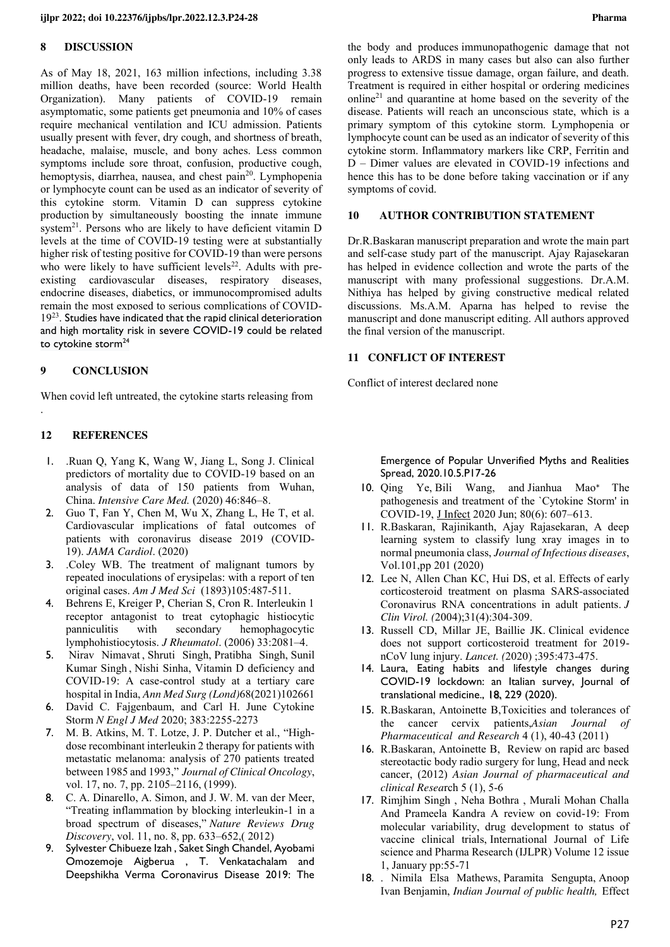#### **8 DISCUSSION**

As of May 18, 2021, 163 million infections, including 3.38 million deaths, have been recorded (source: World Health Organization). Many patients of COVID-19 remain asymptomatic, some patients get pneumonia and 10% of cases require mechanical ventilation and ICU admission. Patients usually present with fever, dry cough, and shortness of breath, headache, malaise, muscle, and bony aches. Less common symptoms include sore throat, confusion, productive cough, hemoptysis, diarrhea, nausea, and chest pain<sup>20</sup>. Lymphopenia or lymphocyte count can be used as an indicator of severity of this cytokine storm. Vitamin D can suppress cytokine production by simultaneously boosting the innate immune system $^{21}$ . Persons who are likely to have deficient vitamin D levels at the time of COVID-19 testing were at substantially higher risk of testing positive for COVID-19 than were persons who were likely to have sufficient levels<sup>22</sup>. Adults with preexisting cardiovascular diseases, respiratory diseases, endocrine diseases, diabetics, or immunocompromised adults remain the most exposed to serious complications of COVID-19<sup>23</sup>. Studies have indicated that the rapid clinical deterioration and high mortality risk in severe COVID-19 could be related to cytokine storm<sup>24</sup>

### **9 CONCLUSION**

When covid left untreated, the cytokine starts releasing from .

### **12 REFERENCES**

- 1. .Ruan Q, Yang K, Wang W, Jiang L, Song J. Clinical predictors of mortality due to COVID-19 based on an analysis of data of 150 patients from Wuhan, China. *Intensive Care Med.* (2020) 46:846–8.
- 2. Guo T, Fan Y, Chen M, Wu X, Zhang L, He T, et al. Cardiovascular implications of fatal outcomes of patients with coronavirus disease 2019 (COVID-19). *JAMA Cardiol*. (2020)
- 3. .Coley WB. The treatment of malignant tumors by repeated inoculations of erysipelas: with a report of ten original cases. *Am J Med Sci* (1893)105:487-511.
- 4. Behrens E, Kreiger P, Cherian S, Cron R. Interleukin 1 receptor antagonist to treat cytophagic histiocytic panniculitis with secondary hemophagocytic lymphohistiocytosis. *J Rheumatol*. (2006) 33:2081–4.
- 5. [Nirav Nimavat](https://pubmed.ncbi.nlm.nih.gov/?term=Nimavat+N&cauthor_id=34377451) , [Shruti Singh,](https://pubmed.ncbi.nlm.nih.gov/?term=Singh+S&cauthor_id=34377451) [Pratibha Singh,](https://pubmed.ncbi.nlm.nih.gov/?term=Singh+P&cauthor_id=34377451) [Sunil](https://pubmed.ncbi.nlm.nih.gov/?term=Singh+SK&cauthor_id=34377451)  [Kumar Singh](https://pubmed.ncbi.nlm.nih.gov/?term=Singh+SK&cauthor_id=34377451) [, Nishi Sinha,](https://pubmed.ncbi.nlm.nih.gov/?term=Sinha+N&cauthor_id=34377451) Vitamin D deficiency and COVID-19: A case-control study at a tertiary care hospital in India, *Ann Med Surg (Lond)*68(2021)102661
- 6. David C. Fajgenbaum, and Carl H. June Cytokine Storm *N Engl J Med* 2020; 383:2255-2273
- 7. M. B. Atkins, M. T. Lotze, J. P. Dutcher et al., "Highdose recombinant interleukin 2 therapy for patients with metastatic melanoma: analysis of 270 patients treated between 1985 and 1993," *Journal of Clinical Oncology*, vol. 17, no. 7, pp. 2105–2116, (1999).
- 8. C. A. Dinarello, A. Simon, and J. W. M. van der Meer, "Treating inflammation by blocking interleukin-1 in a broad spectrum of diseases," *Nature Reviews Drug Discovery*, vol. 11, no. 8, pp. 633–652,( 2012)
- 9. Sylvester Chibueze Izah , Saket Singh Chandel, Ayobami Omozemoje Aigberua , T. Venkatachalam and Deepshikha Verma Coronavirus Disease 2019: The

the body and produces immunopathogenic damage that not only leads to ARDS in many cases but also can also further progress to extensive tissue damage, organ failure, and death. Treatment is required in either hospital or ordering medicines online<sup>21</sup> and quarantine at home based on the severity of the disease. Patients will reach an unconscious state, which is a primary symptom of this cytokine storm. Lymphopenia or lymphocyte count can be used as an indicator of severity of this cytokine storm. Inflammatory markers like CRP, Ferritin and D – Dimer values are elevated in COVID-19 infections and hence this has to be done before taking vaccination or if any symptoms of covid.

#### **10 AUTHOR CONTRIBUTION STATEMENT**

Dr.R.Baskaran manuscript preparation and wrote the main part and self-case study part of the manuscript. Ajay Rajasekaran has helped in evidence collection and wrote the parts of the manuscript with many professional suggestions. Dr.A.M. Nithiya has helped by giving constructive medical related discussions. Ms.A.M. Aparna has helped to revise the manuscript and done manuscript editing. All authors approved the final version of the manuscript.

#### **11 CONFLICT OF INTEREST**

Conflict of interest declared none

Emergence of Popular Unverified Myths and Realities Spread, 2020.10.5.P17-26

- 10. [Qing Ye,](https://www.ncbi.nlm.nih.gov/pubmed/?term=Ye%20Q%5BAuthor%5D&cauthor=true&cauthor_uid=32283152) [Bili Wang,](https://www.ncbi.nlm.nih.gov/pubmed/?term=Wang%20B%5BAuthor%5D&cauthor=true&cauthor_uid=32283152) and [Jianhua Mao](https://www.ncbi.nlm.nih.gov/pubmed/?term=Mao%20J%5BAuthor%5D&cauthor=true&cauthor_uid=32283152)⁎ The pathogenesis and treatment of the `Cytokine Storm' in COVID-19, [J Infect](https://www.ncbi.nlm.nih.gov/pmc/articles/PMC7194613/) 2020 Jun; 80(6): 607–613.
- 11. R.Baskaran, Rajinikanth, Ajay Rajasekaran, A deep learning system to classify lung xray images in to normal pneumonia class, *Journal of Infectious diseases*, Vol.101,pp 201 (2020)
- 12. Lee N, Allen Chan KC, Hui DS, et al. [Effects of early](https://pubmed.ncbi.nlm.nih.gov/15494274/)  [corticosteroid treatment on plasma SARS-associated](https://pubmed.ncbi.nlm.nih.gov/15494274/)  [Coronavirus RNA concentrations in adult patients.](https://pubmed.ncbi.nlm.nih.gov/15494274/) *J Clin Virol. (*2004);31(4):304-309.
- 13. Russell CD, Millar JE, Baillie JK. [Clinical evidence](https://www.thelancet.com/journals/lancet/article/PIIS0140-6736(20)30317-2/fulltext)  [does not support corticosteroid treatment for 2019](https://www.thelancet.com/journals/lancet/article/PIIS0140-6736(20)30317-2/fulltext) [nCoV lung injury.](https://www.thelancet.com/journals/lancet/article/PIIS0140-6736(20)30317-2/fulltext) *Lancet. (*2020) ;395:473-475.
- 14. Laura, Eating habits and lifestyle changes during COVID-19 lockdown: an Italian survey, Journal of translational medicine., 18, 229 (2020).
- 15. R.Baskaran, Antoinette B[,Toxicities and tolerances of](https://scholar.google.co.in/citations?view_op=view_citation&hl=en&user=WksrGy4AAAAJ&cstart=20&pagesize=80&sortby=pubdate&citation_for_view=WksrGy4AAAAJ:NaGl4SEjCO4C)  [the cancer cervix patients,](https://scholar.google.co.in/citations?view_op=view_citation&hl=en&user=WksrGy4AAAAJ&cstart=20&pagesize=80&sortby=pubdate&citation_for_view=WksrGy4AAAAJ:NaGl4SEjCO4C)*Asian Journal Pharmaceutical and Research* 4 (1), 40-43 (2011)
- 16. R.Baskaran, Antoinette B, [Review on rapid arc based](https://scholar.google.co.in/citations?view_op=view_citation&hl=en&user=WksrGy4AAAAJ&cstart=20&pagesize=80&sortby=pubdate&citation_for_view=WksrGy4AAAAJ:SeFeTyx0c_EC)  [stereotactic body radio surgery for lung, Head and neck](https://scholar.google.co.in/citations?view_op=view_citation&hl=en&user=WksrGy4AAAAJ&cstart=20&pagesize=80&sortby=pubdate&citation_for_view=WksrGy4AAAAJ:SeFeTyx0c_EC)  [cancer,](https://scholar.google.co.in/citations?view_op=view_citation&hl=en&user=WksrGy4AAAAJ&cstart=20&pagesize=80&sortby=pubdate&citation_for_view=WksrGy4AAAAJ:SeFeTyx0c_EC) (2012) *Asian Journal of pharmaceutical and clinical Resea*rch 5 (1), 5-6
- 17. Rimjhim Singh , Neha Bothra , Murali Mohan Challa And Prameela Kandra A review on covid-19: From molecular variability, drug development to status of vaccine clinical trials, International Journal of Life science and Pharma Research (IJLPR) Volume 12 issue 1, January pp:55-71
- 18. . [Nimila Elsa Mathews,](https://www.ijph.in/searchresult.asp?search=&author=Nimila+Elsa+Mathews&journal=Y&but_search=Search&entries=10&pg=1&s=0) [Paramita Sengupta,](https://www.ijph.in/searchresult.asp?search=&author=Paramita+Sengupta&journal=Y&but_search=Search&entries=10&pg=1&s=0) [Anoop](https://www.ijph.in/searchresult.asp?search=&author=Anoop+Ivan+Benjamin&journal=Y&but_search=Search&entries=10&pg=1&s=0)  [Ivan Benjamin,](https://www.ijph.in/searchresult.asp?search=&author=Anoop+Ivan+Benjamin&journal=Y&but_search=Search&entries=10&pg=1&s=0) *Indian Journal of public health,* Effect